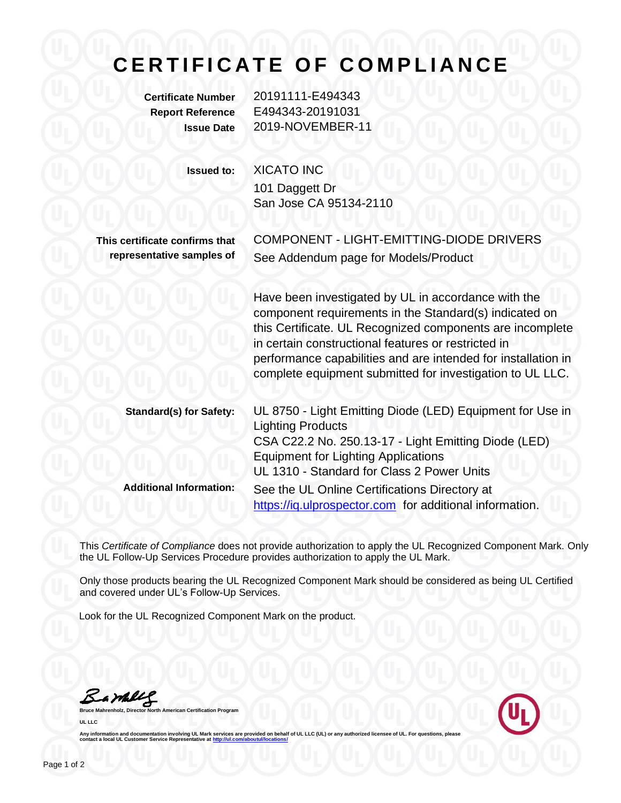## CERTIFICATE OF COMPLIANCE

**Certificate Number** 20191111-E494343 **Report Reference** E494343-20191031 **Issue Date** 2019-NOVEMBER-11

**Issued to:** XICATO INC

101 Daggett Dr San Jose CA 95134-2110

**This certificate confirms that representative samples of** COMPONENT - LIGHT-EMITTING-DIODE DRIVERS See Addendum page for Models/Product

Have been investigated by UL in accordance with the component requirements in the Standard(s) indicated on this Certificate. UL Recognized components are incomplete in certain constructional features or restricted in performance capabilities and are intended for installation in complete equipment submitted for investigation to UL LLC.

| <b>Standard(s) for Safety:</b> | UL 8750 - Light Emitting Diode (LED) Equipment for Use in<br><b>Lighting Products</b> |
|--------------------------------|---------------------------------------------------------------------------------------|
|                                | CSA C22.2 No. 250.13-17 - Light Emitting Diode (LED)                                  |
|                                | <b>Equipment for Lighting Applications</b>                                            |
|                                | UL 1310 - Standard for Class 2 Power Units                                            |
| <b>Additional Information:</b> | See the UL Online Certifications Directory at                                         |
|                                | https://iq.ulprospector.com for additional information.                               |

This *Certificate of Compliance* does not provide authorization to apply the UL Recognized Component Mark. Only the UL Follow-Up Services Procedure provides authorization to apply the UL Mark.

Only those products bearing the UL Recognized Component Mark should be considered as being UL Certified and covered under UL's Follow-Up Services.

Look for the UL Recognized Component Mark on the product.

Barbles

**American Certification Program UL LLC**



Any information and documentation involving UL Mark services are provided on behalf of UL LLC (UL) or any authorized licensee of UL. For questions, please<br>contact a local UL Customer Service Representative at <u>http://ul.co</u>